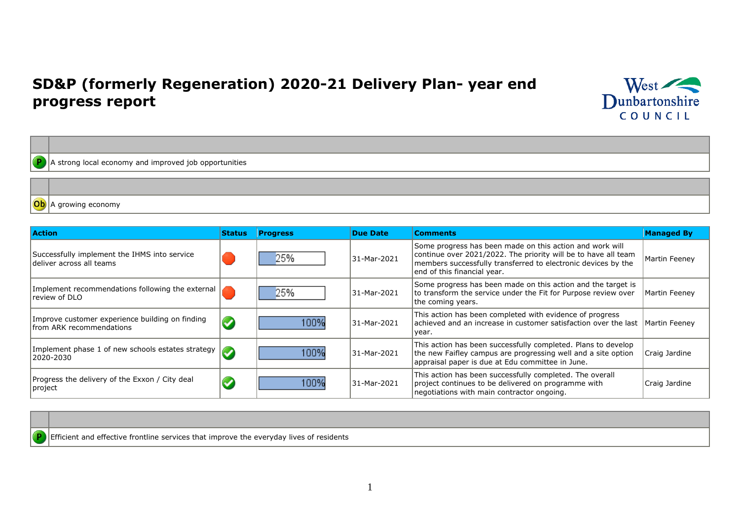## **SD&P (formerly Regeneration) 2020-21 Delivery Plan- year end progress report**



 $\boxed{\text{P}}$  A strong local economy and improved job opportunities

Ob A growing economy

| <b>Action</b>                                                                       | <b>Status</b>        | <b>Progress</b> | <b>Due Date</b> | <b>Comments</b>                                                                                                                                                                                                            | <b>Managed By</b> |
|-------------------------------------------------------------------------------------|----------------------|-----------------|-----------------|----------------------------------------------------------------------------------------------------------------------------------------------------------------------------------------------------------------------------|-------------------|
| Successfully implement the IHMS into service<br>deliver across all teams            |                      | 25%             | 31-Mar-2021     | Some progress has been made on this action and work will<br>continue over 2021/2022. The priority will be to have all team<br>members successfully transferred to electronic devices by the<br>end of this financial year. | Martin Feeney     |
| Implement recommendations following the external<br>review of DLO                   |                      | 25%             | 31-Mar-2021     | Some progress has been made on this action and the target is<br>to transform the service under the Fit for Purpose review over<br>the coming years.                                                                        | Martin Feeney     |
| Improve customer experience building on finding<br><b>Ifrom ARK recommendations</b> | $\blacktriangledown$ | 100%            | 31-Mar-2021     | This action has been completed with evidence of progress<br>achieved and an increase in customer satisfaction over the last<br>year.                                                                                       | Martin Feenev     |
| Implement phase 1 of new schools estates strategy<br>2020-2030                      |                      | 100%            | 31-Mar-2021     | This action has been successfully completed. Plans to develop<br>the new Faifley campus are progressing well and a site option<br>appraisal paper is due at Edu committee in June.                                         | Craig Jardine     |
| Progress the delivery of the Exxon / City deal<br>project                           |                      | 100%            | 31-Mar-2021     | This action has been successfully completed. The overall<br>project continues to be delivered on programme with<br>negotiations with main contractor ongoing.                                                              | Craig Jardine     |

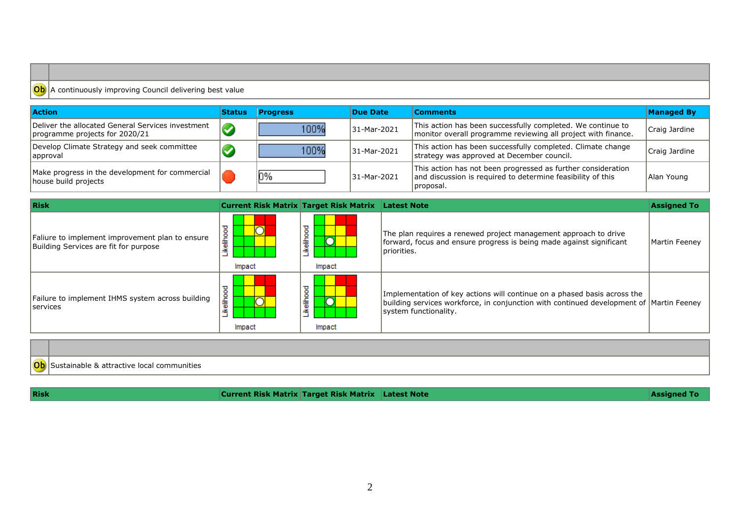## **Ob** A continuously improving Council delivering best value

| <b>Action</b>                                                                       | <b>Status</b> | <b>Progress</b> | Due Date    | <b>Comments</b>                                                                                                                           | <b>Managed By</b> |
|-------------------------------------------------------------------------------------|---------------|-----------------|-------------|-------------------------------------------------------------------------------------------------------------------------------------------|-------------------|
| Deliver the allocated General Services investment<br>programme projects for 2020/21 | $\sqrt{2}$    | 100%            | 31-Mar-2021 | This action has been successfully completed. We continue to<br>monitor overall programme reviewing all project with finance.              | Craig Jardine     |
| Develop Climate Strategy and seek committee<br>approval                             |               | 100%            | 31-Mar-2021 | This action has been successfully completed. Climate change<br>strategy was approved at December council.                                 | Craig Jardine     |
| Make progress in the development for commercial<br>house build projects             |               | <b>0%</b>       | 31-Mar-2021 | This action has not been progressed as further consideration<br>and discussion is required to determine feasibility of this<br> proposal. | Alan Young        |

| Risk                                                                                     |                       | <b>Current Risk Matrix Target Risk Matrix Latest Note</b> |                                                                                                                                                                                              | <b>Assigned To</b> |
|------------------------------------------------------------------------------------------|-----------------------|-----------------------------------------------------------|----------------------------------------------------------------------------------------------------------------------------------------------------------------------------------------------|--------------------|
| Faliure to implement improvement plan to ensure<br>Building Services are fit for purpose | ۰<br>흛<br>≚<br>Impact | ≖<br>۰<br>흛<br>≗<br>Impact                                | The plan requires a renewed project management approach to drive<br>forward, focus and ensure progress is being made against significant<br>I priorities.                                    | Martin Feeney      |
| Failure to implement IHMS system across building<br><b>Services</b>                      | τ<br>elihoo<br>Impact | उ<br>۰<br>흛<br>≚<br>Impact                                | Implementation of key actions will continue on a phased basis across the<br>building services workforce, in conjunction with continued development of Martin Feeney<br>system functionality. |                    |

| $\sim$ | communities<br>$\cdots$<br>$- -$ |
|--------|----------------------------------|

**Risk Current Risk Matrix Target Risk Matrix** Latest Note **Assigned To Assigned To Assigned To**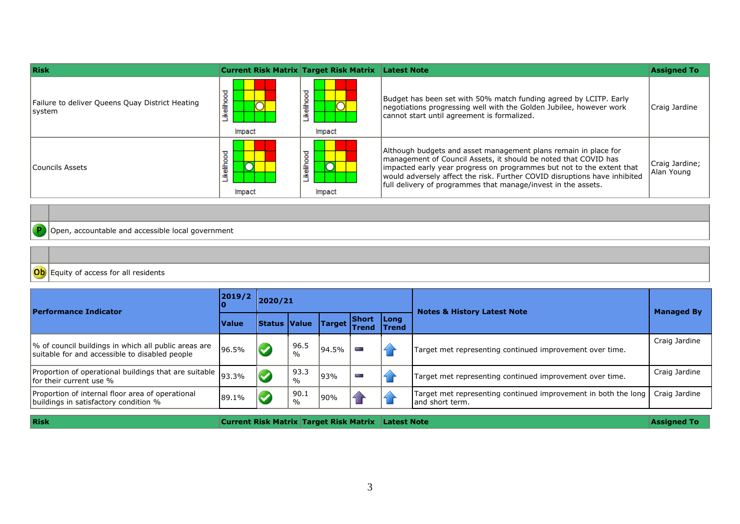| <b>Risk</b>                                               | <b>Current Risk Matrix Target Risk Matrix</b> |                                           | <b>Latest Note</b>                                                                                                                                                                                                                                                                                                                                        | <b>Assigned To</b>           |
|-----------------------------------------------------------|-----------------------------------------------|-------------------------------------------|-----------------------------------------------------------------------------------------------------------------------------------------------------------------------------------------------------------------------------------------------------------------------------------------------------------------------------------------------------------|------------------------------|
| Failure to deliver Queens Quay District Heating<br>system | τ<br>ikelihoo<br>Impact                       | ikelihood<br>$\overline{\rm O}$<br>Impact | Budget has been set with 50% match funding agreed by LCITP. Early<br>negotiations progressing well with the Golden Jubilee, however work<br>cannot start until agreement is formalized.                                                                                                                                                                   | Craig Jardine                |
| lCouncils Assets                                          | ᠊ᠣ<br>۰<br>ikeliho<br>Impact                  | ikelihood<br>Impact                       | Although budgets and asset management plans remain in place for<br>management of Council Assets, it should be noted that COVID has<br>impacted early year progress on programmes but not to the extent that<br>would adversely affect the risk. Further COVID disruptions have inhibited<br>full delivery of programmes that manage/invest in the assets. | Craig Jardine;<br>Alan Young |

## **P**Open, accountable and accessible local government

| $\sim$ | $+$<br>lents |
|--------|--------------|

| <b>Performance Indicator</b>                                                                           | 2019/2       | 2020/21             |                       |               |                              |                             | <b>Notes &amp; History Latest Note</b>                                             | <b>Managed By</b> |
|--------------------------------------------------------------------------------------------------------|--------------|---------------------|-----------------------|---------------|------------------------------|-----------------------------|------------------------------------------------------------------------------------|-------------------|
|                                                                                                        | <b>Value</b> | <b>Status Value</b> |                       | <b>Target</b> | <b>Short</b><br><b>Trend</b> | <b>Long</b><br><b>Trend</b> |                                                                                    |                   |
| % of council buildings in which all public areas are<br>suitable for and accessible to disabled people | 96.5%        |                     | 96.5<br>$\frac{0}{0}$ | 94.5%         | ī                            |                             | Target met representing continued improvement over time.                           | Craig Jardine     |
| Proportion of operational buildings that are suitable 93.3%<br>Ifor their current use %                |              |                     | 93.3<br>$\frac{0}{0}$ | 93%           | T                            |                             | Target met representing continued improvement over time.                           | Craig Jardine     |
| Proportion of internal floor area of operational<br>buildings in satisfactory condition %              | 89.1%        |                     | 90.1<br>$\frac{0}{0}$ | 90%           |                              |                             | Target met representing continued improvement in both the long<br>land short term. | Craig Jardine     |

**Risk Current Risk Matrix Target Risk Matrix** Latest Note **Assigned To Assigned To Assigned To**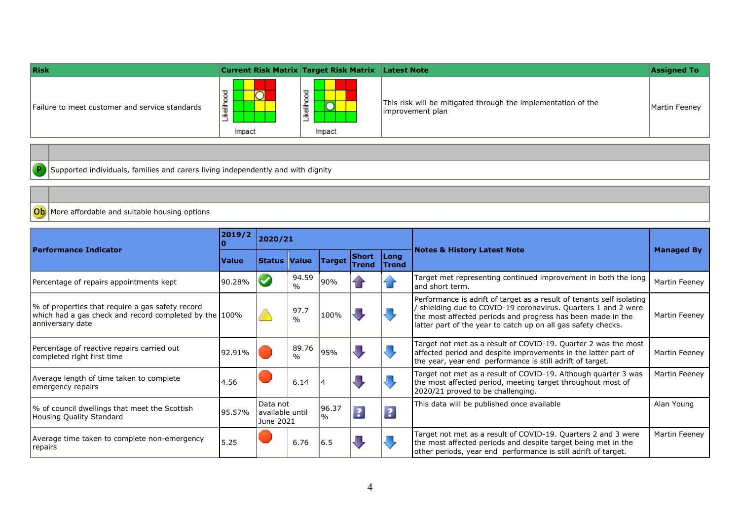| Risk                                           |                                  | <b>Current Risk Matrix Target Risk Matrix Latest Note</b> |                                                                                   | <b>Assigned To</b> |
|------------------------------------------------|----------------------------------|-----------------------------------------------------------|-----------------------------------------------------------------------------------|--------------------|
| Failure to meet customer and service standards | $\circ$<br>-<br>嵩<br>≝<br>Impact | ≖<br>۰<br>۰<br>-<br>흫<br>≚<br>_<br>Impact                 | This risk will be mitigated through the implementation of the<br>improvement plan | Martin Feeney      |

 $\boxed{\text{P}}$  Supported individuals, families and carers living independently and with dignity

## Ob More affordable and suitable housing options

|                                                                                                                                | 2019/2       | 2020/21                                  |                        |                        |                              |                             |                                                                                                                                                                                                                                                                       |                   |
|--------------------------------------------------------------------------------------------------------------------------------|--------------|------------------------------------------|------------------------|------------------------|------------------------------|-----------------------------|-----------------------------------------------------------------------------------------------------------------------------------------------------------------------------------------------------------------------------------------------------------------------|-------------------|
| <b>Performance Indicator</b>                                                                                                   | <b>Value</b> | Status   Value                           |                        | <b>Target</b>          | <b>Short</b><br><b>Trend</b> | <b>Long</b><br><b>Trend</b> | <b>Notes &amp; History Latest Note</b>                                                                                                                                                                                                                                | <b>Managed By</b> |
| Percentage of repairs appointments kept                                                                                        | 90.28%       | $\blacktriangledown$                     | 94.59<br>$\%$          | 90%                    |                              |                             | Target met representing continued improvement in both the long<br>and short term.                                                                                                                                                                                     | Martin Feeney     |
| √ of properties that require a gas safety record<br>which had a gas check and record completed by the 100%<br>anniversary date |              |                                          | 97.7<br>$\frac{0}{0}$  | 100%                   |                              |                             | Performance is adrift of target as a result of tenants self isolating<br>shielding due to COVID-19 coronavirus. Quarters 1 and 2 were<br>the most affected periods and progress has been made in the<br>latter part of the year to catch up on all gas safety checks. | Martin Feeney     |
| Percentage of reactive repairs carried out<br>completed right first time                                                       | 92.91%       |                                          | 89.76<br>$\frac{0}{0}$ | 95%                    |                              |                             | Target not met as a result of COVID-19. Quarter 2 was the most<br>affected period and despite improvements in the latter part of<br>the year, year end performance is still adrift of target.                                                                         | Martin Feeney     |
| Average length of time taken to complete<br>emergency repairs                                                                  | 4.56         |                                          | 6.14                   |                        |                              |                             | Target not met as a result of COVID-19. Although quarter 3 was<br>the most affected period, meeting target throughout most of<br>2020/21 proved to be challenging.                                                                                                    | Martin Feeney     |
| % of council dwellings that meet the Scottish<br>Housing Quality Standard                                                      | 95.57%       | Data not<br>available until<br>June 2021 |                        | 96.37<br>$\frac{9}{6}$ | $\overline{\mathbf{3}}$      | $\overline{\mathbf{3}}$     | This data will be published once available                                                                                                                                                                                                                            | Alan Young        |
| Average time taken to complete non-emergency<br> repairs                                                                       | 5.25         |                                          | 6.76                   | 16.5                   |                              |                             | Target not met as a result of COVID-19. Quarters 2 and 3 were<br>the most affected periods and despite target being met in the<br>other periods, year end performance is still adrift of target.                                                                      | Martin Feeney     |